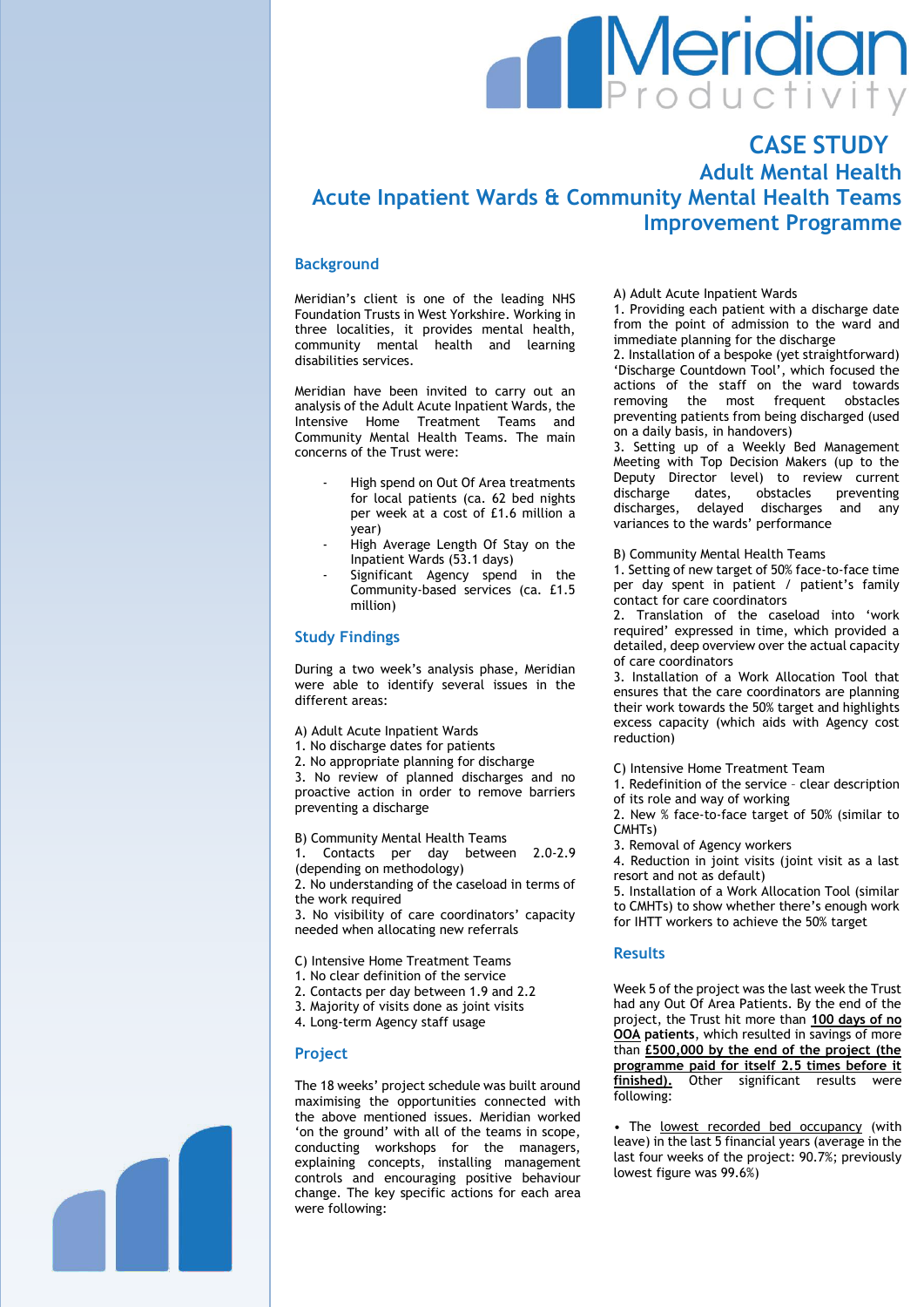# Meridian<br>Productivity

# **CASE STUDY Adult Mental Health Acute Inpatient Wards & Community Mental Health Teams Improvement Programme**

# **Background**

Meridian's client is one of the leading NHS Foundation Trusts in West Yorkshire. Working in three localities, it provides mental health, community mental health and learning disabilities services.

Meridian have been invited to carry out an analysis of the Adult Acute Inpatient Wards, the Intensive Home Treatment Teams and Community Mental Health Teams. The main concerns of the Trust were:

- High spend on Out Of Area treatments for local patients (ca. 62 bed nights per week at a cost of £1.6 million a year)
- High Average Length Of Stay on the Inpatient Wards (53.1 days)
- Significant Agency spend in the Community-based services (ca. £1.5 million)

# **Study Findings**

During a two week's analysis phase, Meridian were able to identify several issues in the different areas:

A) Adult Acute Inpatient Wards

1. No discharge dates for patients

2. No appropriate planning for discharge

3. No review of planned discharges and no proactive action in order to remove barriers preventing a discharge

B) Community Mental Health Teams

1. Contacts per day between 2.0-2.9 (depending on methodology)

2. No understanding of the caseload in terms of the work required

3. No visibility of care coordinators' capacity needed when allocating new referrals

C) Intensive Home Treatment Teams

- 1. No clear definition of the service
- 2. Contacts per day between 1.9 and 2.2
- 3. Majority of visits done as joint visits
- 4. Long-term Agency staff usage

#### **Project**

The 18 weeks' project schedule was built around maximising the opportunities connected with the above mentioned issues. Meridian worked 'on the ground' with all of the teams in scope, conducting workshops for the managers, explaining concepts, installing management controls and encouraging positive behaviour change. The key specific actions for each area were following:

A) Adult Acute Inpatient Wards

1. Providing each patient with a discharge date from the point of admission to the ward and immediate planning for the discharge

2. Installation of a bespoke (yet straightforward) 'Discharge Countdown Tool', which focused the actions of the staff on the ward towards removing the most frequent obstacles preventing patients from being discharged (used on a daily basis, in handovers)

3. Setting up of a Weekly Bed Management Meeting with Top Decision Makers (up to the Deputy Director level) to review current discharge dates, obstacles preventing discharges, delayed discharges and any variances to the wards' performance

B) Community Mental Health Teams

1. Setting of new target of 50% face-to-face time per day spent in patient / patient's family contact for care coordinators

2. Translation of the caseload into 'work required' expressed in time, which provided a detailed, deep overview over the actual capacity of care coordinators

3. Installation of a Work Allocation Tool that ensures that the care coordinators are planning their work towards the 50% target and highlights excess capacity (which aids with Agency cost reduction)

C) Intensive Home Treatment Team

1. Redefinition of the service – clear description of its role and way of working

2. New % face-to-face target of 50% (similar to CMHTs)

3. Removal of Agency workers

4. Reduction in joint visits (joint visit as a last resort and not as default)

5. Installation of a Work Allocation Tool (similar to CMHTs) to show whether there's enough work for IHTT workers to achieve the 50% target

#### **Results**

Week 5 of the project was the last week the Trust had any Out Of Area Patients. By the end of the project, the Trust hit more than **100 days of no OOA patients**, which resulted in savings of more than **£500,000 by the end of the project (the programme paid for itself 2.5 times before it finished).** Other significant results were following:

• The lowest recorded bed occupancy (with leave) in the last 5 financial years (average in the last four weeks of the project: 90.7%; previously lowest figure was 99.6%)